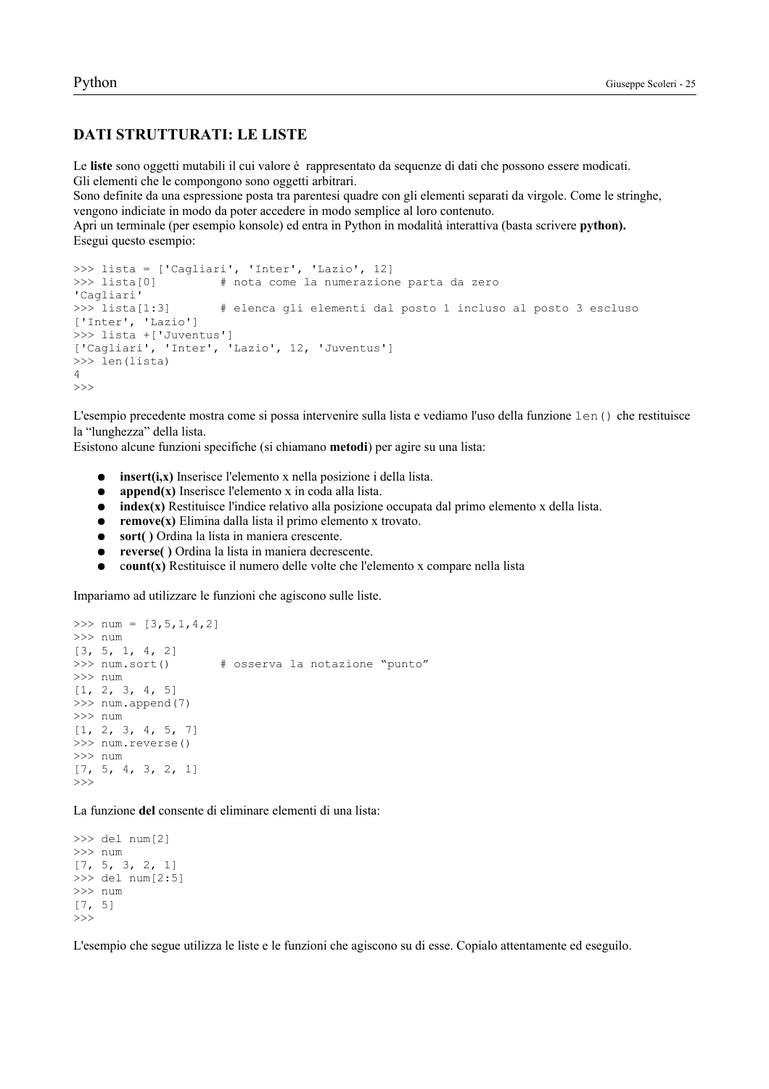## Python

## **DATI STRUTTURATI: LE LISTE**

Le liste sono oggetti mutabili il cui valore è rappresentato da sequenze di dati che possono essere modicati. Gli elementi che le compongono sono oggetti arbitrari.

Sono definite da una espressione posta tra parentesi quadre con gli elementi separati da virgole. Come le stringhe, vengono indiciate in modo da poter accedere in modo semplice al loro contenuto.

Apri un terminale (per esempio konsole) ed entra in Python in modalità interattiva (basta scrivere python). Esegui questo esempio:

```
>>> lista = ['Cagliari', 'Inter', 'Lazio', 12]
\gg lista[0]
                       # nota come la numerazione parta da zero
'Cagliari'
\gg lista[1:3]
                       # elenca gli elementi dal posto 1 incluso al posto 3 escluso
['Inter', 'Lazio']
>>> lista +['Juventus']
['Cagliari', 'Inter', 'Lazio', 12, 'Juventus']
>>> len(lista)
\overline{4}\rightarrow
```
L'esempio precedente mostra come si possa intervenire sulla lista e vediamo l'uso della funzione len() che restituisce la "lunghezza" della lista.

Esistono alcune funzioni specifiche (si chiamano **metodi**) per agire su una lista:

- insert(i,x) Inserisce l'elemento x nella posizione i della lista.  $\bullet$
- $append(x)$  Inserisce l'elemento x in coda alla lista.  $\bullet$
- $\bullet$ index(x) Restituisce l'indice relativo alla posizione occupata dal primo elemento x della lista.
- $remove(x)$  Elimina dalla lista il primo elemento x trovato.  $\bullet$
- $\bullet$ sort() Ordina la lista in maniera crescente.
- $\bullet$ reverse() Ordina la lista in maniera decrescente.
- $\bullet$ count(x) Restituisce il numero delle volte che l'elemento x compare nella lista

Impariamo ad utilizzare le funzioni che agiscono sulle liste.

```
>>> num = [3, 5, 1, 4, 2]>> num
[3, 5, 1, 4, 2]>>> num.sort()
                     # osserva la notazione "punto"
>> num
[1, 2, 3, 4, 5]>>> num.append(7)
>> num
[1, 2, 3, 4, 5, 7]>>> num.reverse()
>> num
[7, 5, 4, 3, 2, 1]>>
```
La funzione del consente di eliminare elementi di una lista:

```
>> del num[2]>> num
[7, 5, 3, 2, 1]>> del num[2:5]
>> num
[7, 5]>>
```
L'esempio che segue utilizza le liste e le funzioni che agiscono su di esse. Copialo attentamente ed eseguilo.